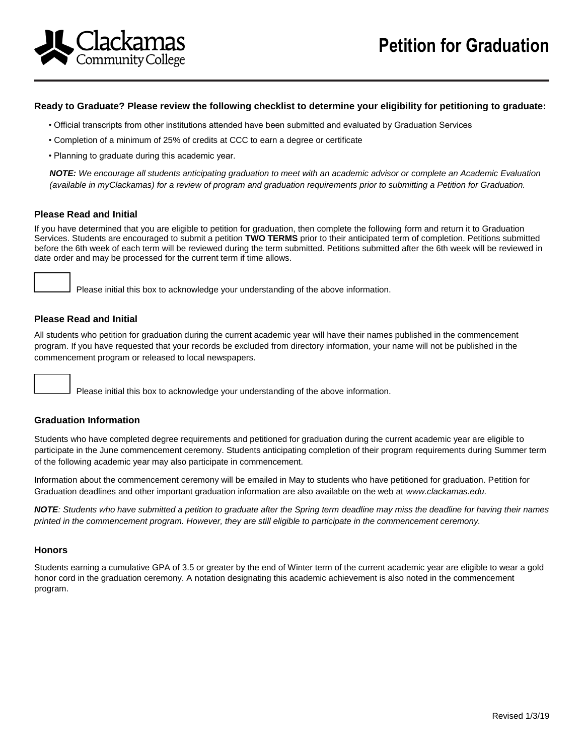

### **Ready to Graduate? Please review the following checklist to determine your eligibility for petitioning to graduate:**

- Official transcripts from other institutions attended have been submitted and evaluated by Graduation Services
- Completion of a minimum of 25% of credits at CCC to earn a degree or certificate
- Planning to graduate during this academic year.

*NOTE: We encourage all students anticipating graduation to meet with an academic advisor or complete an Academic Evaluation (available in myClackamas) for a review of program and graduation requirements prior to submitting a Petition for Graduation.*

#### **Please Read and Initial**

If you have determined that you are eligible to petition for graduation, then complete the following form and return it to Graduation Services. Students are encouraged to submit a petition **TWO TERMS** prior to their anticipated term of completion. Petitions submitted before the 6th week of each term will be reviewed during the term submitted. Petitions submitted after the 6th week will be reviewed in date order and may be processed for the current term if time allows.

Please initial this box to acknowledge your understanding of the above information.

## **Please Read and Initial**

All students who petition for graduation during the current academic year will have their names published in the commencement program. If you have requested that your records be excluded from directory information, your name will not be published in the commencement program or released to local newspapers.

Please initial this box to acknowledge your understanding of the above information.

## **Graduation Information**

Students who have completed degree requirements and petitioned for graduation during the current academic year are eligible to participate in the June commencement ceremony. Students anticipating completion of their program requirements during Summer term of the following academic year may also participate in commencement.

Information about the commencement ceremony will be emailed in May to students who have petitioned for graduation. Petition for Graduation deadlines and other important graduation information are also available on the web at *www.clackamas.edu.*

*NOTE: Students who have submitted a petition to graduate after the Spring term deadline may miss the deadline for having their names printed in the commencement program. However, they are still eligible to participate in the commencement ceremony.* 

#### **Honors**

Students earning a cumulative GPA of 3.5 or greater by the end of Winter term of the current academic year are eligible to wear a gold honor cord in the graduation ceremony. A notation designating this academic achievement is also noted in the commencement program.